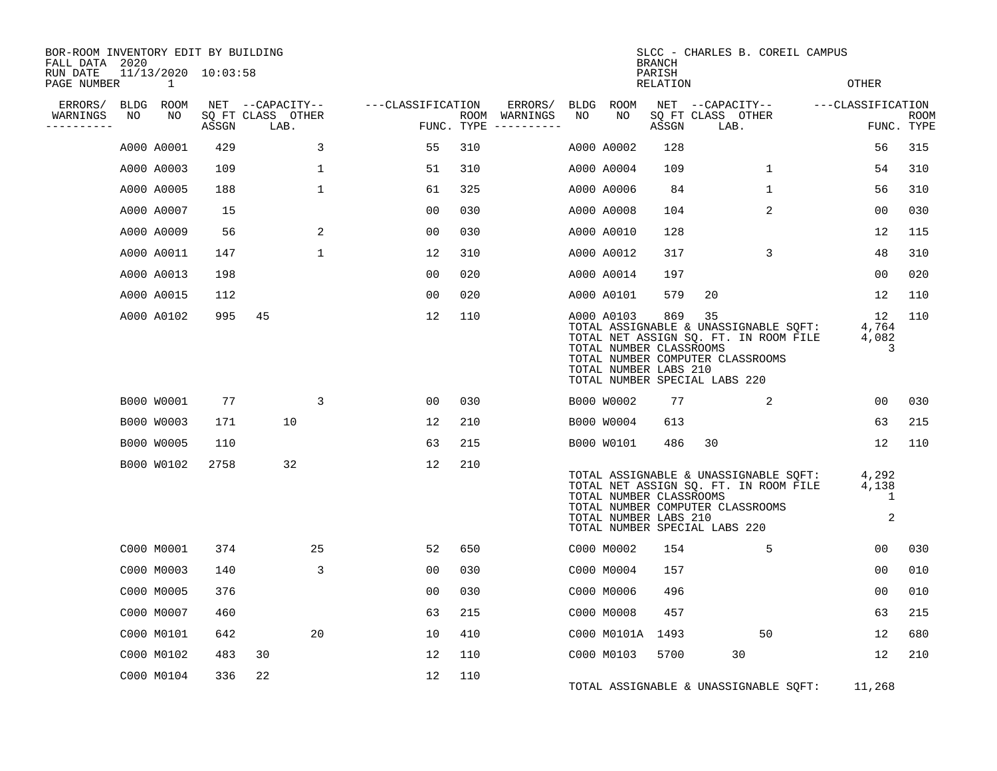| BOR-ROOM INVENTORY EDIT BY BUILDING<br>FALL DATA 2020 |            |                                         |       |                           |                   |            | SLCC - CHARLES B. COREIL CAMPUS<br><b>BRANCH</b> |            |                                                                |                    |                                                                                                                                                           |                           |             |  |
|-------------------------------------------------------|------------|-----------------------------------------|-------|---------------------------|-------------------|------------|--------------------------------------------------|------------|----------------------------------------------------------------|--------------------|-----------------------------------------------------------------------------------------------------------------------------------------------------------|---------------------------|-------------|--|
| RUN DATE<br>PAGE NUMBER                               |            | $11/13/2020$ $10:03:58$<br>$\mathbf{1}$ |       |                           |                   |            |                                                  |            |                                                                | PARISH<br>RELATION |                                                                                                                                                           | OTHER                     |             |  |
| ERRORS/<br>WARNINGS                                   | BLDG<br>NO | ROOM<br>NO                              |       | NET --CAPACITY--          | ---CLASSIFICATION |            | ERRORS/                                          | BLDG<br>NO | ROOM<br>NO                                                     |                    | NET --CAPACITY--                                                                                                                                          | ---CLASSIFICATION         | <b>ROOM</b> |  |
| - - - - - - - - - -                                   |            |                                         | ASSGN | SQ FT CLASS OTHER<br>LAB. |                   | FUNC. TYPE | ROOM WARNINGS                                    |            |                                                                | ASSGN              | SQ FT CLASS OTHER<br>LAB.                                                                                                                                 |                           | FUNC. TYPE  |  |
|                                                       |            | A000 A0001                              | 429   | 3                         | 55                | 310        |                                                  |            | A000 A0002                                                     | 128                |                                                                                                                                                           | 56                        | 315         |  |
|                                                       |            | A000 A0003                              | 109   | $\mathbf{1}$              | 51                | 310        |                                                  |            | A000 A0004                                                     | 109                | 1                                                                                                                                                         | 54                        | 310         |  |
|                                                       |            | A000 A0005                              | 188   | $\mathbf{1}$              | 61                | 325        |                                                  |            | A000 A0006                                                     | 84                 | 1                                                                                                                                                         | 56                        | 310         |  |
|                                                       |            | A000 A0007                              | 15    |                           | 0 <sub>0</sub>    | 030        |                                                  |            | A000 A0008                                                     | 104                | 2                                                                                                                                                         | 0 <sub>0</sub>            | 030         |  |
|                                                       |            | A000 A0009                              | 56    | 2                         | 0 <sub>0</sub>    | 030        |                                                  |            | A000 A0010                                                     | 128                |                                                                                                                                                           | 12                        | 115         |  |
|                                                       |            | A000 A0011                              | 147   | $\mathbf{1}$              | 12                | 310        |                                                  |            | A000 A0012                                                     | 317                | 3                                                                                                                                                         | 48                        | 310         |  |
|                                                       |            | A000 A0013                              | 198   |                           | 0 <sub>0</sub>    | 020        |                                                  |            | A000 A0014                                                     | 197                |                                                                                                                                                           | 0 <sub>0</sub>            | 020         |  |
|                                                       |            | A000 A0015                              | 112   |                           | 0 <sub>0</sub>    | 020        |                                                  |            | A000 A0101                                                     | 579                | 20                                                                                                                                                        | 12                        | 110         |  |
|                                                       |            | A000 A0102                              | 995   | 45                        | 12                | 110        |                                                  |            | A000 A0103<br>TOTAL NUMBER CLASSROOMS<br>TOTAL NUMBER LABS 210 | 869                | 35<br>TOTAL ASSIGNABLE & UNASSIGNABLE SQFT:<br>TOTAL NET ASSIGN SQ. FT. IN ROOM FILE<br>TOTAL NUMBER COMPUTER CLASSROOMS<br>TOTAL NUMBER SPECIAL LABS 220 | 12<br>4,764<br>4,082<br>3 | 110         |  |
|                                                       |            | B000 W0001                              | 77    | 3                         | 0 <sub>0</sub>    | 030        |                                                  |            | B000 W0002                                                     | 77                 | 2                                                                                                                                                         | 0 <sub>0</sub>            | 030         |  |
|                                                       |            | B000 W0003                              | 171   | 10                        | 12                | 210        |                                                  |            | B000 W0004                                                     | 613                |                                                                                                                                                           | 63                        | 215         |  |
|                                                       |            | B000 W0005                              | 110   |                           | 63                | 215        |                                                  |            | B000 W0101                                                     | 486                | 30                                                                                                                                                        | 12                        | 110         |  |
|                                                       |            | B000 W0102                              | 2758  | 32                        | 12                | 210        |                                                  |            | TOTAL NUMBER CLASSROOMS<br>TOTAL NUMBER LABS 210               |                    | TOTAL ASSIGNABLE & UNASSIGNABLE SQFT:<br>TOTAL NET ASSIGN SQ. FT. IN ROOM FILE<br>TOTAL NUMBER COMPUTER CLASSROOMS<br>TOTAL NUMBER SPECIAL LABS 220       | 4,292<br>4,138<br>1<br>2  |             |  |
|                                                       |            | C000 M0001                              | 374   | 25                        | 52                | 650        |                                                  |            | C000 M0002                                                     | 154                | 5                                                                                                                                                         | 00                        | 030         |  |
|                                                       |            | C000 M0003                              | 140   | 3                         | 0 <sub>0</sub>    | 030        |                                                  |            | C000 M0004                                                     | 157                |                                                                                                                                                           | 0 <sub>0</sub>            | 010         |  |
|                                                       |            | C000 M0005                              | 376   |                           | 00                | 030        |                                                  |            | C000 M0006                                                     | 496                |                                                                                                                                                           | 0 <sub>0</sub>            | 010         |  |
|                                                       |            | C000 M0007                              | 460   |                           | 63                | 215        |                                                  |            | C000 M0008                                                     | 457                |                                                                                                                                                           | 63                        | 215         |  |
|                                                       |            | C000 M0101                              | 642   | 20                        | 10                | 410        |                                                  |            | C000 M0101A 1493                                               |                    | 50                                                                                                                                                        | 12                        | 680         |  |
|                                                       |            | C000 M0102                              | 483   | 30                        | 12                | 110        |                                                  |            | C000 M0103                                                     | 5700               | 30                                                                                                                                                        | 12                        | 210         |  |
|                                                       |            | C000 M0104                              | 336   | 22                        | 12                | 110        |                                                  |            |                                                                |                    | TOTAL ASSIGNABLE & UNASSIGNABLE SQFT:                                                                                                                     | 11,268                    |             |  |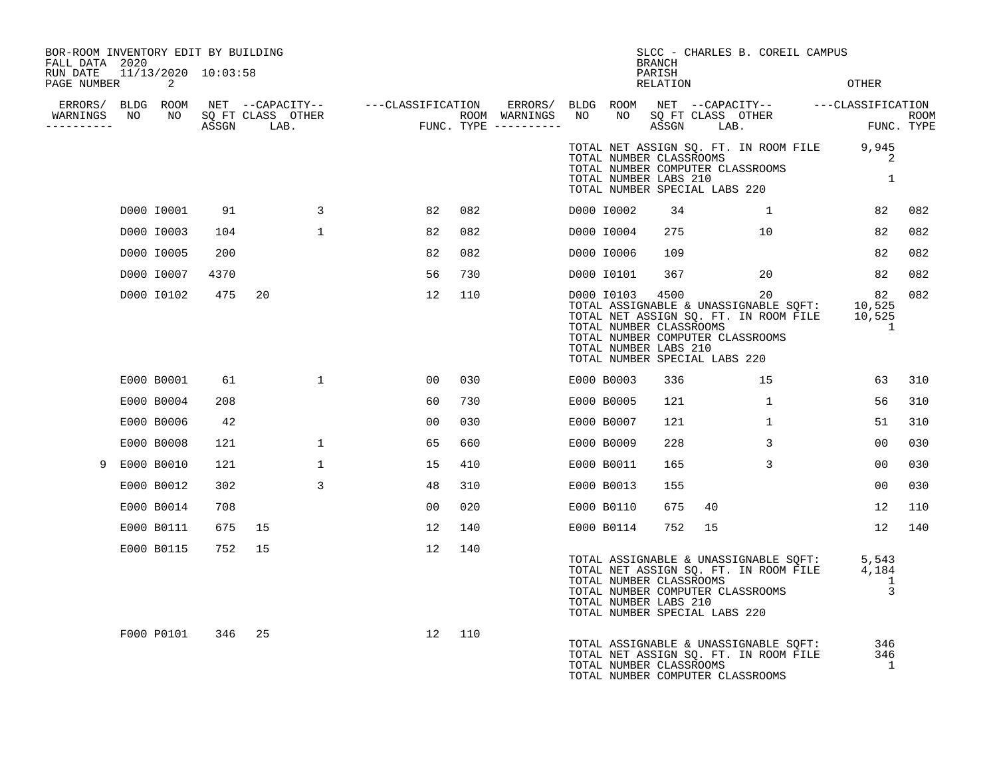| BOR-ROOM INVENTORY EDIT BY BUILDING<br>FALL DATA 2020 |            |      |                |    |     |  |            | <b>BRANCH</b>                                                                                        |    | SLCC - CHARLES B. COREIL CAMPUS                                                                                                              |                              |     |
|-------------------------------------------------------|------------|------|----------------|----|-----|--|------------|------------------------------------------------------------------------------------------------------|----|----------------------------------------------------------------------------------------------------------------------------------------------|------------------------------|-----|
| RUN DATE 11/13/2020 10:03:58<br>PAGE NUMBER           | 2          |      |                |    |     |  |            | PARISH<br>RELATION                                                                                   |    |                                                                                                                                              | <b>OTHER</b>                 |     |
|                                                       |            |      |                |    |     |  |            |                                                                                                      |    |                                                                                                                                              |                              |     |
| -----------                                           |            |      |                |    |     |  |            |                                                                                                      |    |                                                                                                                                              |                              |     |
|                                                       |            |      |                |    |     |  |            | TOTAL NUMBER LABS 210<br>TOTAL NUMBER SPECIAL LABS 220                                               |    | TOTAL NET ASSIGN SQ. FT. IN ROOM FILE 9,945<br>TOTAL NUMBER CLASSROOMS<br>TOTAL NUMBER COMPUTER CLASSROOMS                                   | 2<br>1                       |     |
|                                                       | D000 I0001 | 91   | $\overline{3}$ | 82 | 082 |  | D000 I0002 | 34                                                                                                   |    | $\overline{1}$                                                                                                                               | 82                           | 082 |
|                                                       | D000 I0003 | 104  | 1              | 82 | 082 |  | D000 I0004 | 275                                                                                                  |    | 10 <sup>1</sup>                                                                                                                              | 82                           | 082 |
|                                                       | D000 I0005 | 200  |                | 82 | 082 |  | D000 I0006 | 109                                                                                                  |    |                                                                                                                                              | 82                           | 082 |
|                                                       | D000 10007 | 4370 |                | 56 | 730 |  | D000 I0101 |                                                                                                      |    | 367 20                                                                                                                                       | 82                           | 082 |
|                                                       | D000 I0102 | 475  | 20             | 12 | 110 |  |            | D000 10103 4500<br>TOTAL NUMBER CLASSROOMS<br>TOTAL NUMBER LABS 210<br>TOTAL NUMBER SPECIAL LABS 220 |    | 20<br>20<br>TOTAL ASSIGNABLE & UNASSIGNABLE SQFT: 10,525<br>TOTAL NET ASSIGN SQ. FT. IN ROOM FILE 10,525<br>TOTAL NUMBER COMPUTER CLASSROOMS | 82<br>$\sim$ 1               | 082 |
|                                                       | E000 B0001 | 61   | $\mathbf{1}$   | 00 | 030 |  | E000 B0003 | 336                                                                                                  |    | 15                                                                                                                                           | 63                           | 310 |
|                                                       | E000 B0004 | 208  |                | 60 | 730 |  | E000 B0005 | 121                                                                                                  |    | $\overline{1}$                                                                                                                               | 56                           | 310 |
|                                                       | E000 B0006 | 42   |                | 00 | 030 |  | E000 B0007 | 121                                                                                                  |    | $\mathbf{1}$                                                                                                                                 | 51                           | 310 |
|                                                       | E000 B0008 | 121  | $\mathbf{1}$   | 65 | 660 |  | E000 B0009 | 228                                                                                                  |    | $\mathbf{3}$                                                                                                                                 | 00                           | 030 |
| 9                                                     | E000 B0010 | 121  | $\mathbf{1}$   | 15 | 410 |  | E000 B0011 | 165                                                                                                  |    | $\mathbf{3}$                                                                                                                                 | 00                           | 030 |
|                                                       | E000 B0012 | 302  | 3              | 48 | 310 |  | E000 B0013 | 155                                                                                                  |    |                                                                                                                                              | 00                           | 030 |
|                                                       | E000 B0014 | 708  |                | 00 | 020 |  | E000 B0110 | 675                                                                                                  | 40 |                                                                                                                                              | 12                           | 110 |
|                                                       | E000 B0111 | 675  | 15             | 12 | 140 |  | E000 B0114 | 752                                                                                                  | 15 |                                                                                                                                              | 12                           | 140 |
|                                                       | E000 B0115 | 752  | 15             | 12 | 140 |  |            | TOTAL NUMBER CLASSROOMS<br>TOTAL NUMBER LABS 210<br>TOTAL NUMBER SPECIAL LABS 220                    |    | TOTAL ASSIGNABLE & UNASSIGNABLE SQFT: 5,543<br>TOTAL NET ASSIGN SQ. FT. IN ROOM FILE 4,184<br>TOTAL NUMBER COMPUTER CLASSROOMS               | 1<br>$\overline{3}$          |     |
|                                                       | F000 P0101 | 346  | 25             | 12 | 110 |  |            | TOTAL NUMBER CLASSROOMS                                                                              |    | TOTAL ASSIGNABLE & UNASSIGNABLE SQFT:<br>TOTAL NET ASSIGN SQ. FT. IN ROOM FILE<br>TOTAL NUMBER COMPUTER CLASSROOMS                           | 346<br>346<br>$\overline{1}$ |     |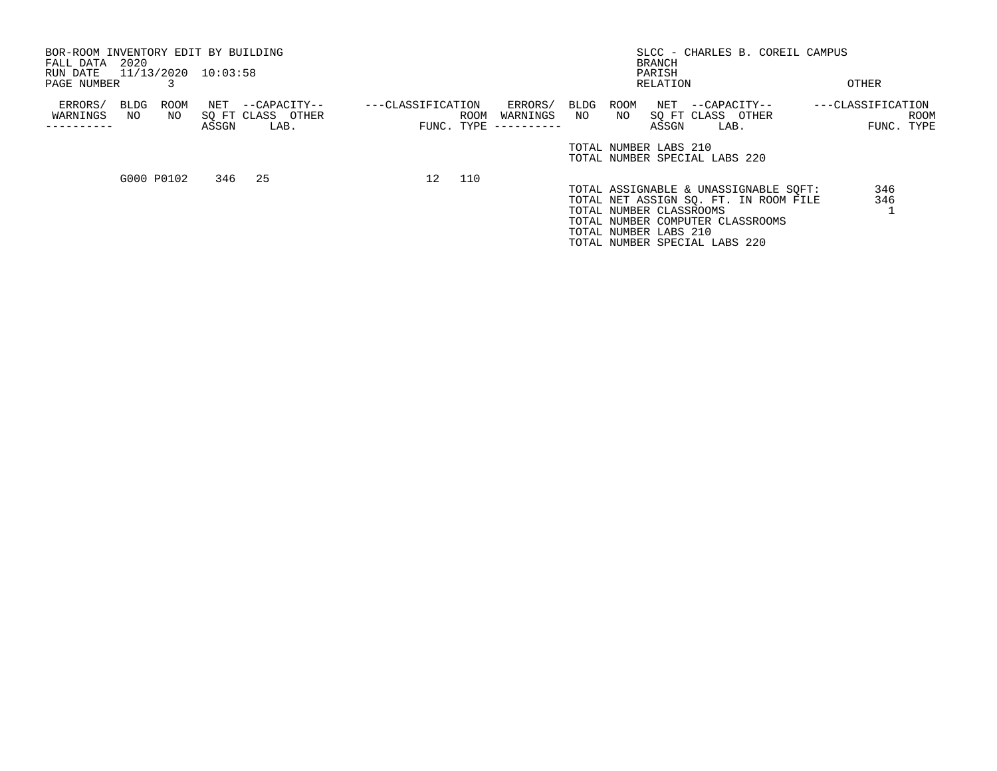| BOR-ROOM INVENTORY EDIT BY BUILDING<br>FALL DATA<br>RUN DATE | 2020 |             | 11/13/2020 10:03:58 |                   |                   |            |            |      |      | <b>BRANCH</b>           | SLCC - CHARLES B. COREIL CAMPUS       |                   |            |
|--------------------------------------------------------------|------|-------------|---------------------|-------------------|-------------------|------------|------------|------|------|-------------------------|---------------------------------------|-------------------|------------|
|                                                              |      |             |                     |                   |                   |            |            |      |      | PARISH                  |                                       |                   |            |
| PAGE NUMBER                                                  |      |             |                     |                   |                   |            |            |      |      | RELATION                |                                       | OTHER             |            |
| ERRORS/                                                      | BLDG | <b>ROOM</b> | NET                 | --CAPACITY--      | ---CLASSIFICATION |            | ERRORS/    | BLDG | ROOM |                         | NET --CAPACITY--                      | ---CLASSIFICATION |            |
| WARNINGS                                                     | NO   | NO.         |                     | SQ FT CLASS OTHER |                   | ROOM       | WARNINGS   | NO   | NO   |                         | SO FT CLASS OTHER                     |                   | ROOM       |
|                                                              |      |             | ASSGN               | LAB.              |                   | FUNC. TYPE | ---------- |      |      | ASSGN                   | LAB.                                  |                   | FUNC. TYPE |
|                                                              |      |             |                     |                   |                   |            |            |      |      | TOTAL NUMBER LABS 210   | TOTAL NUMBER SPECIAL LABS 220         |                   |            |
|                                                              |      | G000 P0102  |                     | 346 25            | 12 <sup>°</sup>   | 110        |            |      |      |                         |                                       |                   |            |
|                                                              |      |             |                     |                   |                   |            |            |      |      |                         | TOTAL ASSIGNABLE & UNASSIGNABLE SOFT: | 346               |            |
|                                                              |      |             |                     |                   |                   |            |            |      |      |                         | TOTAL NET ASSIGN SO. FT. IN ROOM FILE | 346               |            |
|                                                              |      |             |                     |                   |                   |            |            |      |      | TOTAL NUMBER CLASSROOMS |                                       |                   |            |
|                                                              |      |             |                     |                   |                   |            |            |      |      |                         | TOTAL NUMBER COMPUTER CLASSROOMS      |                   |            |
|                                                              |      |             |                     |                   |                   |            |            |      |      | TOTAL NUMBER LABS 210   |                                       |                   |            |

TOTAL NUMBER SPECIAL LABS 220